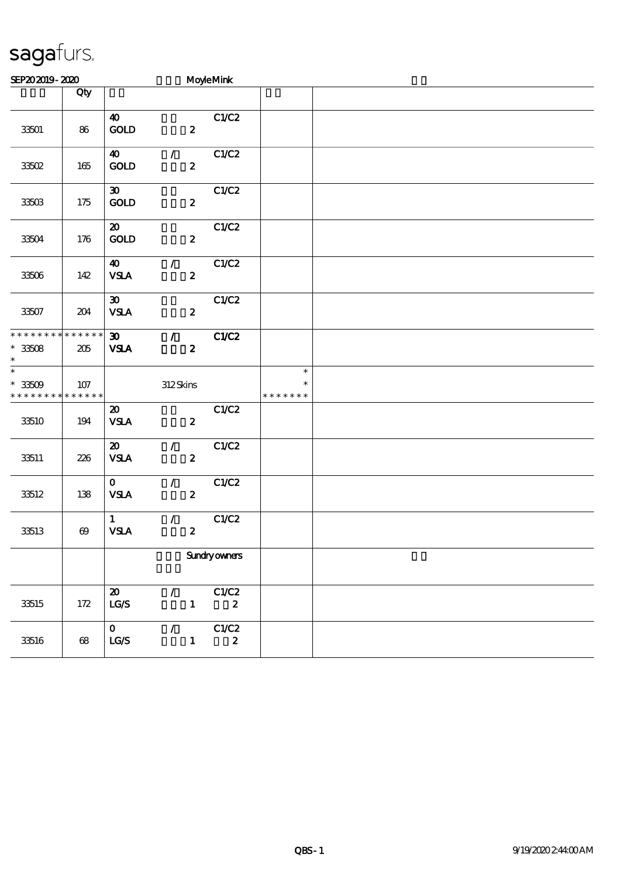## sagafurs.

| SEP202019-2020                                           |                    |                                                         |                                   | MoyleMink                 |                                   |  |  |  |
|----------------------------------------------------------|--------------------|---------------------------------------------------------|-----------------------------------|---------------------------|-----------------------------------|--|--|--|
|                                                          | Qty                |                                                         |                                   |                           |                                   |  |  |  |
| 33501                                                    | 86                 | $\boldsymbol{\omega}$<br>$\operatorname{GOLD}$          | $\boldsymbol{z}$                  | C1/C2                     |                                   |  |  |  |
| 33502                                                    | 165                | $\boldsymbol{40}$<br>$\mathop{\rm GOD}$                 | $\mathcal{T}$<br>$\boldsymbol{z}$ | C1/C2                     |                                   |  |  |  |
| 33503                                                    | 175                | $\boldsymbol{\mathfrak{D}}$<br>$\mathop{\rm GOD}$       | $\boldsymbol{z}$                  | C1/C2                     |                                   |  |  |  |
| 33504                                                    | 176                | $\boldsymbol{\mathfrak{D}}$<br>$\mathop{\rm GOD}$       | $\boldsymbol{z}$                  | C1/C2                     |                                   |  |  |  |
| 33506                                                    | 142                | $\boldsymbol{\omega}$<br><b>VSLA</b>                    | $\mathcal{F}$<br>$\boldsymbol{z}$ | C1/C2                     |                                   |  |  |  |
| $33507\,$                                                | 204                | $\boldsymbol{\mathfrak{D}}$<br><b>VSLA</b>              | $\boldsymbol{z}$                  | C1/C2                     |                                   |  |  |  |
| * * * * * * * * * * * * * *<br>$^\ast$ 33508<br>$\ast$   | $205\,$            | $\boldsymbol{\mathfrak{D}}$<br><b>VSLA</b>              | $\mathcal{T}$<br>$\boldsymbol{z}$ | C1/C2                     |                                   |  |  |  |
| $\overline{\phantom{0}}$<br>$* 33509$<br>* * * * * * * * | 107<br>* * * * * * |                                                         | 312Skins                          |                           | $\ast$<br>$\ast$<br>* * * * * * * |  |  |  |
| 33510                                                    | 194                | $\boldsymbol{\mathfrak{D}}$<br><b>VSLA</b>              | $\boldsymbol{z}$                  | C1/C2                     |                                   |  |  |  |
| 33511                                                    | 226                | $\boldsymbol{\mathfrak{D}}$<br><b>VSLA</b>              | $\mathcal{L}$<br>$\boldsymbol{z}$ | C1/C2                     |                                   |  |  |  |
| 33512                                                    | 138                | $\mathbf{O}$<br><b>VSLA</b>                             | $\mathcal{L}$<br>$\boldsymbol{z}$ | C1/C2                     |                                   |  |  |  |
| 33513                                                    | $\pmb{\infty}$     | $\mathbf{1}$<br><b>VSLA</b>                             | $\mathcal{L}$<br>$\pmb{2}$        | C1/C2                     |                                   |  |  |  |
|                                                          |                    |                                                         |                                   | Sundryowners              |                                   |  |  |  |
| 33515                                                    | $172$              | $\boldsymbol{\mathfrak{D}}$<br>$\mathbf{LG}\mathcal{S}$ | $\mathcal{L}$<br>$\mathbf{1}$     | C1/C2<br>$\boldsymbol{z}$ |                                   |  |  |  |
| 33516                                                    | 68                 | $\mathbf{O}$<br>$\mathtt{LG}\mathcal{S}$                | $\mathcal{L}$<br>$\mathbf{1}$     | C1/C2<br>$\boldsymbol{z}$ |                                   |  |  |  |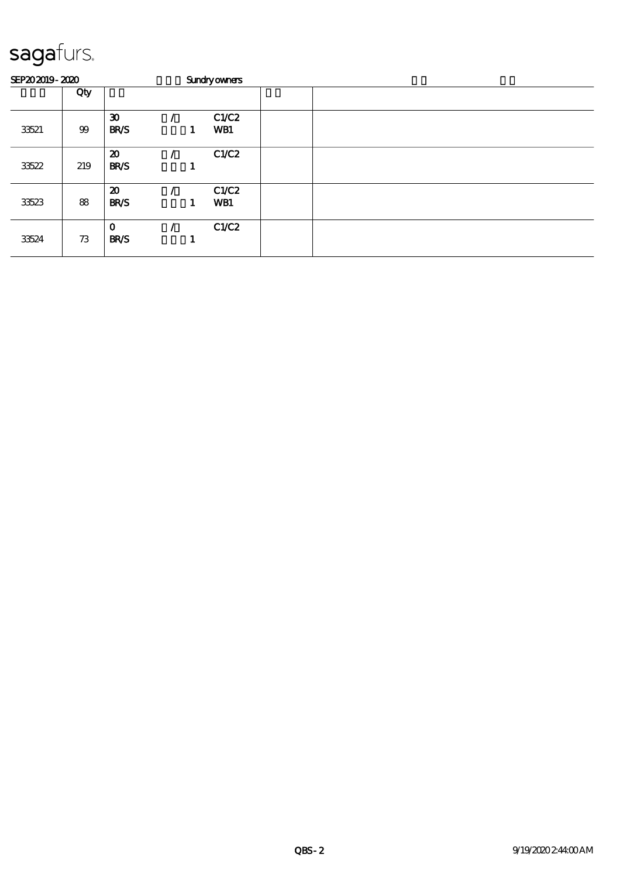## sagafurs.

| SEP202019-2020 |     | <b>Sundryowners</b>                        |  |   |              |  |  |  |  |
|----------------|-----|--------------------------------------------|--|---|--------------|--|--|--|--|
|                | Qty |                                            |  |   |              |  |  |  |  |
| 33521          | 99  | $\boldsymbol{\mathfrak{D}}$<br><b>BR/S</b> |  | 1 | C1/C2<br>WB1 |  |  |  |  |
| 33522          | 219 | $\boldsymbol{\mathfrak{D}}$<br><b>BR/S</b> |  |   | C1/C2        |  |  |  |  |
| 33523          | 88  | $\boldsymbol{\mathfrak{D}}$<br><b>BR/S</b> |  | 1 | C1/C2<br>WB1 |  |  |  |  |
| 33524          | 73  | $\mathbf 0$<br><b>BR/S</b>                 |  |   | C1/C2        |  |  |  |  |